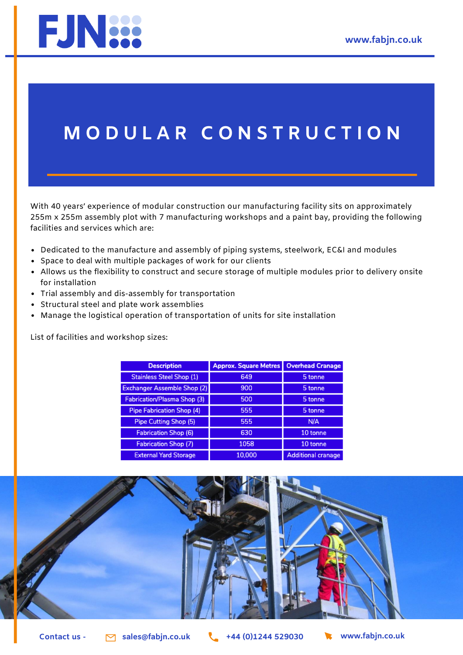

## **M O D U L A R C O N S T R U C T I O N**

With 40 years' experience of modular construction our manufacturing facility sits on approximately 255m x 255m assembly plot with 7 manufacturing workshops and a paint bay, providing the following facilities and services which are:

- Dedicated to the manufacture and assembly of piping systems, steelwork, EC&I and modules
- Space to deal with multiple packages of work for our clients
- Allows us the flexibility to construct and secure storage of multiple modules prior to delivery onsite for installation
- Trial assembly and dis-assembly for transportation
- Structural steel and plate work assemblies
- Manage the logistical operation of transportation of units for site installation

List of facilities and workshop sizes:

| <b>Description</b>                 | <b>Approx. Square Metres</b> | <b>Overhead Cranage</b>   |
|------------------------------------|------------------------------|---------------------------|
| <b>Stainless Steel Shop (1)</b>    | 649                          | 5 tonne                   |
| <b>Exchanger Assemble Shop (2)</b> | 900                          | 5 tonne                   |
| <b>Fabrication/Plasma Shop (3)</b> | 500                          | 5 tonne                   |
| <b>Pipe Fabrication Shop (4)</b>   | 555                          | 5 tonne                   |
| Pipe Cutting Shop (5)              | 555                          | N/A                       |
| <b>Fabrication Shop (6)</b>        | 630                          | 10 tonne                  |
| <b>Fabrication Shop (7)</b>        | 1058                         | 10 tonne                  |
| <b>External Yard Storage</b>       | 10,000                       | <b>Additional cranage</b> |